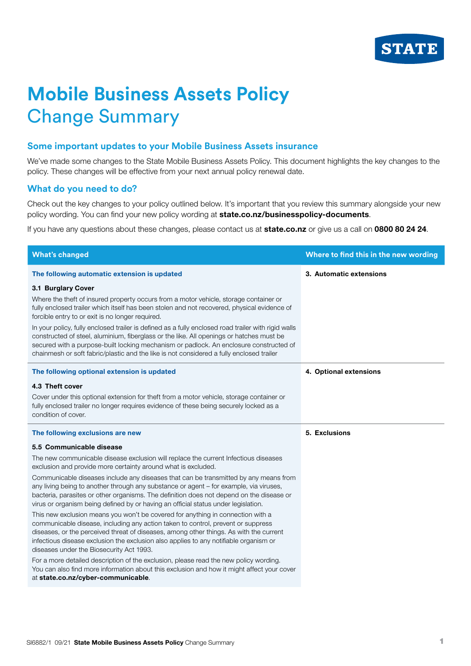

## **Mobile Business Assets Policy** Change Summary

## **Some important updates to your Mobile Business Assets insurance**

We've made some changes to the State Mobile Business Assets Policy. This document highlights the key changes to the policy. These changes will be effective from your next annual policy renewal date.

## **What do you need to do?**

Check out the key changes to your policy outlined below. It's important that you review this summary alongside your new policy wording. You can find your new policy wording at state.co.nz/businesspolicy-documents.

If you have any questions about these changes, please contact us at state.co.nz or give us a call on 0800 80 24 24.

| <b>What's changed</b>                                                                                                                                                                                                                                                                                                                                                                                                                                                                                                                                                                                                                                   | Where to find this in the new wording |
|---------------------------------------------------------------------------------------------------------------------------------------------------------------------------------------------------------------------------------------------------------------------------------------------------------------------------------------------------------------------------------------------------------------------------------------------------------------------------------------------------------------------------------------------------------------------------------------------------------------------------------------------------------|---------------------------------------|
| The following automatic extension is updated                                                                                                                                                                                                                                                                                                                                                                                                                                                                                                                                                                                                            | 3. Automatic extensions               |
| 3.1 Burglary Cover<br>Where the theft of insured property occurs from a motor vehicle, storage container or<br>fully enclosed trailer which itself has been stolen and not recovered, physical evidence of<br>forcible entry to or exit is no longer required.<br>In your policy, fully enclosed trailer is defined as a fully enclosed road trailer with rigid walls<br>constructed of steel, aluminium, fiberglass or the like. All openings or hatches must be<br>secured with a purpose-built locking mechanism or padlock. An enclosure constructed of<br>chainmesh or soft fabric/plastic and the like is not considered a fully enclosed trailer |                                       |
| The following optional extension is updated                                                                                                                                                                                                                                                                                                                                                                                                                                                                                                                                                                                                             | 4. Optional extensions                |
| 4.3 Theft cover                                                                                                                                                                                                                                                                                                                                                                                                                                                                                                                                                                                                                                         |                                       |
| Cover under this optional extension for theft from a motor vehicle, storage container or<br>fully enclosed trailer no longer requires evidence of these being securely locked as a<br>condition of cover.                                                                                                                                                                                                                                                                                                                                                                                                                                               |                                       |
| The following exclusions are new                                                                                                                                                                                                                                                                                                                                                                                                                                                                                                                                                                                                                        | 5. Exclusions                         |
| 5.5 Communicable disease                                                                                                                                                                                                                                                                                                                                                                                                                                                                                                                                                                                                                                |                                       |
| The new communicable disease exclusion will replace the current Infectious diseases<br>exclusion and provide more certainty around what is excluded.                                                                                                                                                                                                                                                                                                                                                                                                                                                                                                    |                                       |
| Communicable diseases include any diseases that can be transmitted by any means from<br>any living being to another through any substance or agent - for example, via viruses,<br>bacteria, parasites or other organisms. The definition does not depend on the disease or<br>virus or organism being defined by or having an official status under legislation.                                                                                                                                                                                                                                                                                        |                                       |
| This new exclusion means you won't be covered for anything in connection with a<br>communicable disease, including any action taken to control, prevent or suppress<br>diseases, or the perceived threat of diseases, among other things. As with the current<br>infectious disease exclusion the exclusion also applies to any notifiable organism or<br>diseases under the Biosecurity Act 1993.                                                                                                                                                                                                                                                      |                                       |
| For a more detailed description of the exclusion, please read the new policy wording.<br>You can also find more information about this exclusion and how it might affect your cover<br>at state.co.nz/cyber-communicable.                                                                                                                                                                                                                                                                                                                                                                                                                               |                                       |